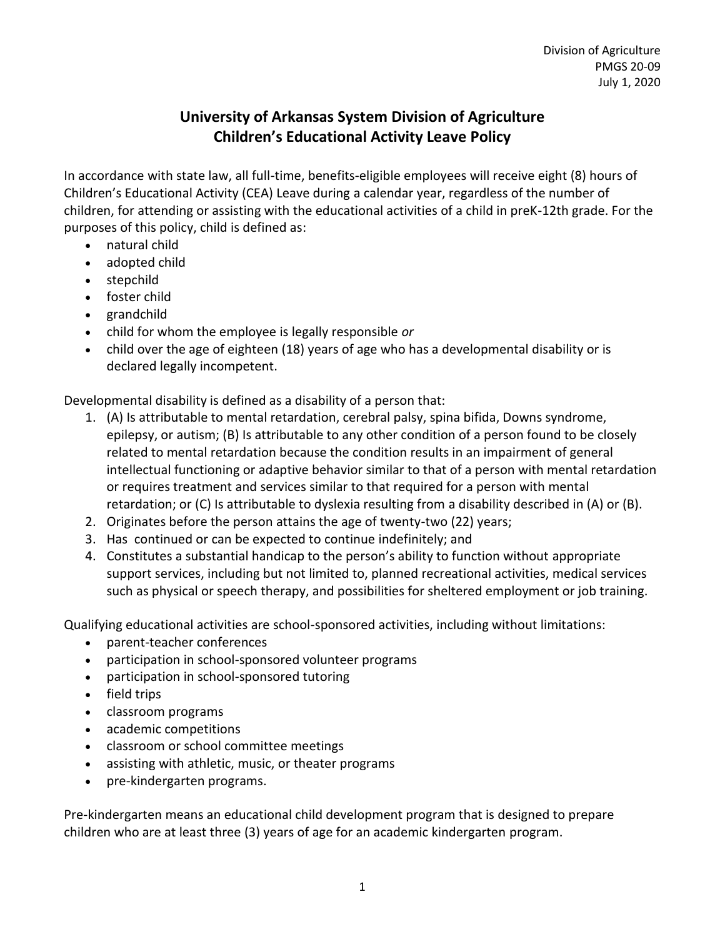## **University of Arkansas System Division of Agriculture Children's Educational Activity Leave Policy**

In accordance with state law, all full-time, benefits-eligible employees will receive eight (8) hours of Children's Educational Activity (CEA) Leave during a calendar year, regardless of the number of children, for attending or assisting with the educational activities of a child in preK-12th grade. For the purposes of this policy, child is defined as:

- natural child
- adopted child
- stepchild
- foster child
- grandchild
- child for whom the employee is legally responsible *or*
- child over the age of eighteen (18) years of age who has a developmental disability or is declared legally incompetent.

Developmental disability is defined as a disability of a person that:

- 1. (A) Is attributable to mental retardation, cerebral palsy, spina bifida, Downs syndrome, epilepsy, or autism; (B) Is attributable to any other condition of a person found to be closely related to mental retardation because the condition results in an impairment of general intellectual functioning or adaptive behavior similar to that of a person with mental retardation or requires treatment and services similar to that required for a person with mental retardation; or (C) Is attributable to dyslexia resulting from a disability described in (A) or (B).
- 2. Originates before the person attains the age of twenty-two (22) years;
- 3. Has continued or can be expected to continue indefinitely; and
- 4. Constitutes a substantial handicap to the person's ability to function without appropriate support services, including but not limited to, planned recreational activities, medical services such as physical or speech therapy, and possibilities for sheltered employment or job training.

Qualifying educational activities are school-sponsored activities, including without limitations:

- parent-teacher conferences
- participation in school-sponsored volunteer programs
- participation in school-sponsored tutoring
- field trips
- classroom programs
- academic competitions
- classroom or school committee meetings
- assisting with athletic, music, or theater programs
- pre-kindergarten programs.

Pre-kindergarten means an educational child development program that is designed to prepare children who are at least three (3) years of age for an academic kindergarten program.